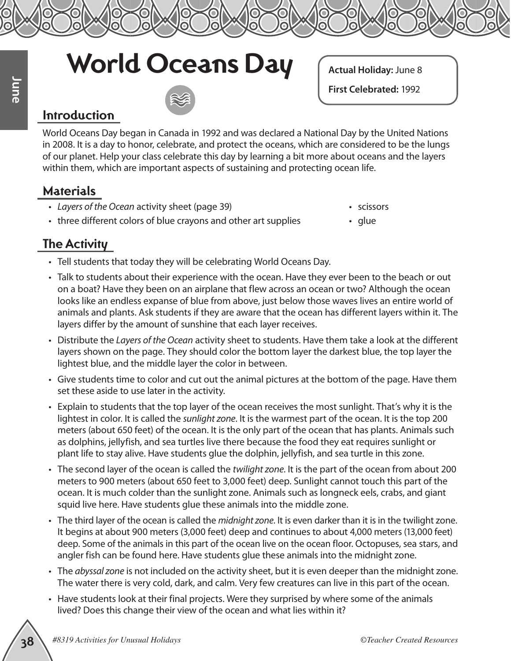## **World Oceans Day**

**Actual Holiday:** June 8

**First Celebrated:** 1992

## **Introduction**

World Oceans Day began in Canada in 1992 and was declared a National Day by the United Nations in 2008. It is a day to honor, celebrate, and protect the oceans, which are considered to be the lungs of our planet. Help your class celebrate this day by learning a bit more about oceans and the layers within them, which are important aspects of sustaining and protecting ocean life.

## **Materials**

- *Layers of the Ocean* activity sheet (page 39)
- three different colors of blue crayons and other art supplies
- scissors
- glue

## **The Activity**

- Tell students that today they will be celebrating World Oceans Day.
- Talk to students about their experience with the ocean. Have they ever been to the beach or out on a boat? Have they been on an airplane that flew across an ocean or two? Although the ocean looks like an endless expanse of blue from above, just below those waves lives an entire world of animals and plants. Ask students if they are aware that the ocean has different layers within it. The layers differ by the amount of sunshine that each layer receives.
- Distribute the *Layers of the Ocean* activity sheet to students. Have them take a look at the different layers shown on the page. They should color the bottom layer the darkest blue, the top layer the lightest blue, and the middle layer the color in between.
- Give students time to color and cut out the animal pictures at the bottom of the page. Have them set these aside to use later in the activity.
- **Example 1831**<br> **Example 2011 The Control Consert Dealer Creates and Paying the United Resources (1992<br>
The Consert Dealer Creates and Protect the oceans, which are considered to be the longs<br>
or More Mercel After Create** • Explain to students that the top layer of the ocean receives the most sunlight. That's why it is the lightest in color. It is called the *sunlight zone*. It is the warmest part of the ocean. It is the top 200 meters (about 650 feet) of the ocean. It is the only part of the ocean that has plants. Animals such as dolphins, jellyfish, and sea turtles live there because the food they eat requires sunlight or plant life to stay alive. Have students glue the dolphin, jellyfish, and sea turtle in this zone.
	- The second layer of the ocean is called the *twilight zone*. It is the part of the ocean from about 200 meters to 900 meters (about 650 feet to 3,000 feet) deep. Sunlight cannot touch this part of the ocean. It is much colder than the sunlight zone. Animals such as longneck eels, crabs, and giant squid live here. Have students glue these animals into the middle zone.
	- The third layer of the ocean is called the *midnight zone*. It is even darker than it is in the twilight zone. It begins at about 900 meters (3,000 feet) deep and continues to about 4,000 meters (13,000 feet) deep. Some of the animals in this part of the ocean live on the ocean floor. Octopuses, sea stars, and angler fish can be found here. Have students glue these animals into the midnight zone.
	- The *abyssal zone* is not included on the activity sheet, but it is even deeper than the midnight zone. The water there is very cold, dark, and calm. Very few creatures can live in this part of the ocean.
	- Have students look at their final projects. Were they surprised by where some of the animals lived? Does this change their view of the ocean and what lies within it?